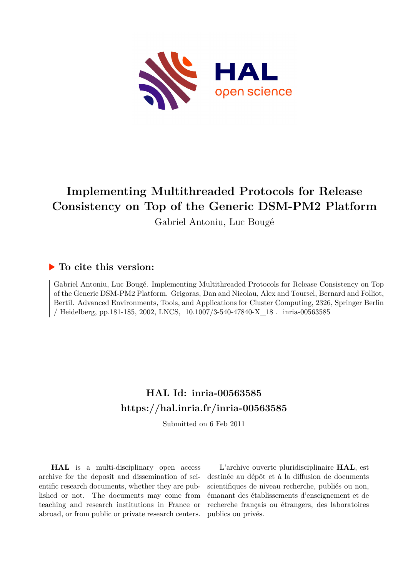

# **Implementing Multithreaded Protocols for Release Consistency on Top of the Generic DSM-PM2 Platform**

Gabriel Antoniu, Luc Bougé

# **To cite this version:**

Gabriel Antoniu, Luc Bougé. Implementing Multithreaded Protocols for Release Consistency on Top of the Generic DSM-PM2 Platform. Grigoras, Dan and Nicolau, Alex and Toursel, Bernard and Folliot, Bertil. Advanced Environments, Tools, and Applications for Cluster Computing, 2326, Springer Berlin / Heidelberg, pp.181-185, 2002, LNCS, 10.1007/3-540-47840-X 18. inria-00563585

# **HAL Id: inria-00563585 <https://hal.inria.fr/inria-00563585>**

Submitted on 6 Feb 2011

**HAL** is a multi-disciplinary open access archive for the deposit and dissemination of scientific research documents, whether they are published or not. The documents may come from teaching and research institutions in France or abroad, or from public or private research centers.

L'archive ouverte pluridisciplinaire **HAL**, est destinée au dépôt et à la diffusion de documents scientifiques de niveau recherche, publiés ou non, émanant des établissements d'enseignement et de recherche français ou étrangers, des laboratoires publics ou privés.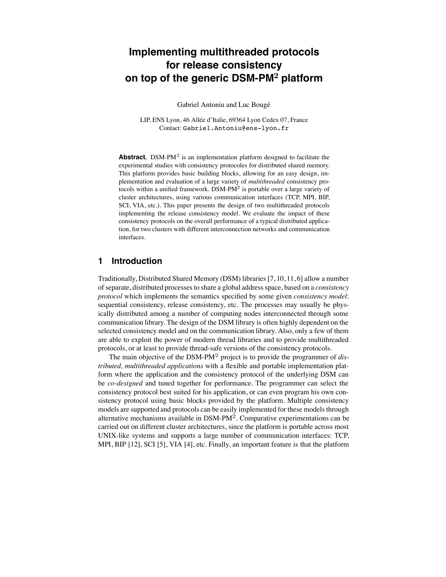# **Implementing multithreaded protocols for release consistency on top of the generic DSM-PM<sup>2</sup> platform**

Gabriel Antoniu and Luc Bougé

LIP, ENS Lyon, 46 Allée d'Italie, 69364 Lyon Cedex 07, France Contact: Gabriel.Antoniu@ens-lyon.fr

Abstract. DSM-PM<sup>2</sup> is an implementation platform designed to facilitate the experimental studies with consistency protocoles for distributed shared memory. This platform provides basic building blocks, allowing for an easy design, implementation and evaluation of a large variety of *multithreaded* consistency protocols within a unified framework. DSM-PM $2$  is portable over a large variety of cluster architectures, using various communication interfaces (TCP, MPI, BIP, SCI, VIA, etc.). This paper presents the design of two multithreaded protocols implementing the release consistency model. We evaluate the impact of these consistency protocols on the overall performance of a typical distributed application, for two clusters with different interconnection networks and communication interfaces.

## **1 Introduction**

Traditionally, Distributed Shared Memory (DSM) libraries [7, 10, 11, 6] allow a number of separate, distributed processes to share a global address space, based on a *consistency protocol* which implements the semantics specified by some given *consistency model*: sequential consistency, release consistency, etc. The processes may usually be physically distributed among a number of computing nodes interconnected through some communication library. The design of the DSM library is often highly dependent on the selected consistency model and on the communication library. Also, only a few of them are able to exploit the power of modern thread libraries and to provide multithreaded protocols, or at least to provide thread-safe versions of the consistency protocols.

The main objective of the DSM-PM<sup>2</sup> project is to provide the programmer of *distributed, multithreaded applications* with a flexible and portable implementation platform where the application and the consistency protocol of the underlying DSM can be *co-designed* and tuned together for performance. The programmer can select the consistency protocol best suited for his application, or can even program his own consistency protocol using basic blocks provided by the platform. Multiple consistency models are supported and protocols can be easily implemented for these models through alternative mechanisms available in  $DSM-PM^2$ . Comparative experimentations can be carried out on different cluster architectures, since the platform is portable across most UNIX-like systems and supports a large number of communication interfaces: TCP, MPI, BIP [12], SCI [5], VIA [4], etc. Finally, an important feature is that the platform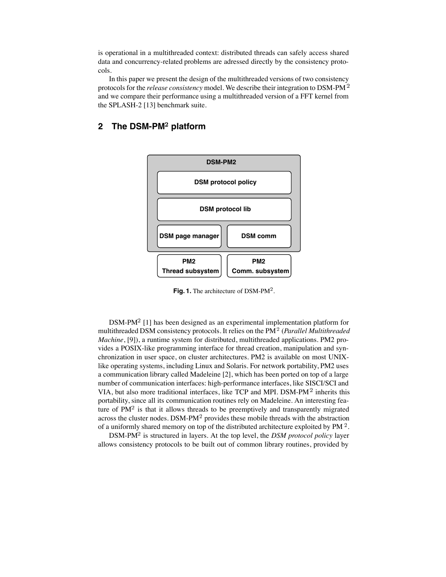is operational in a multithreaded context: distributed threads can safely access shared data and concurrency-related problems are adressed directly by the consistency protocols.

In this paper we present the design of the multithreaded versions of two consistency protocols for the *release consistency* model. We describe their integration to DSM-PM and we compare their performance using a multithreaded version of a FFT kernel from the SPLASH-2 [13] benchmark suite.

# 2 The DSM-PM<sup>2</sup> platform



**Fig. 1.** The architecture of DSM-PM<sup>2</sup>.

 $DSM-PM^2$  [1] has been designed as an experimental implementation platform for multithreaded DSM consistency protocols. It relies on the PM (*Parallel Multithreaded Machine*, [9]), a runtime system for distributed, multithreaded applications. PM2 provides a POSIX-like programming interface for thread creation, manipulation and synchronization in user space, on cluster architectures. PM2 is available on most UNIXlike operating systems, including Linux and Solaris. For network portability, PM2 uses a communication library called Madeleine [2], which has been ported on top of a large number of communication interfaces: high-performance interfaces, like SISCI/SCI and VIA, but also more traditional interfaces, like TCP and MPI. DSM-PM $<sup>2</sup>$  inherits this</sup> portability, since all its communication routines rely on Madeleine. An interesting feature of  $PM<sup>2</sup>$  is that it allows threads to be preemptively and transparently migrated across the cluster nodes.  $DSM-PM^2$  provides these mobile threads with the abstraction of a uniformly shared memory on top of the distributed architecture exploited by  $PM^2$ .

DSM-PM<sup>2</sup> is structured in layers. At the top level, the *DSM protocol policy* layer allows consistency protocols to be built out of common library routines, provided by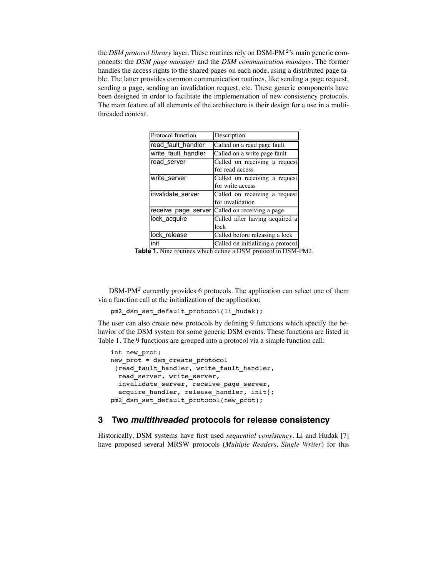the *DSM protocol library* layer. These routines rely on DSM-PM<sup>2</sup>'s main generic components: the *DSM page manager* and the *DSM communication manager*. The former handles the access rights to the shared pages on each node, using a distributed page table. The latter provides common communication routines, like sending a page request, sending a page, sending an invalidation request, etc. These generic components have been designed in order to facilitate the implementation of new consistency protocols. The main feature of all elements of the architecture is their design for a use in a multithreaded context.

| Protocol function   | Description                                    |  |  |  |
|---------------------|------------------------------------------------|--|--|--|
| read fault handler  | Called on a read page fault                    |  |  |  |
| write fault handler | Called on a write page fault                   |  |  |  |
| read server         | Called on receiving a request                  |  |  |  |
|                     | for read access                                |  |  |  |
| write_server        | Called on receiving a request                  |  |  |  |
|                     | for write access                               |  |  |  |
| invalidate_server   | Called on receiving a request                  |  |  |  |
|                     | for invalidation                               |  |  |  |
|                     | receive_page_server Called on receiving a page |  |  |  |
| lock acquire        | Called after having acquired a                 |  |  |  |
|                     | lock                                           |  |  |  |
| lock_release        | Called before releasing a lock                 |  |  |  |
| init                | Called on initializing a protocol              |  |  |  |

**Table 1.** Nine routines which define a DSM protocol in DSM-PM2.

 $DSM-PM<sup>2</sup>$  currently provides 6 protocols. The application can select one of them via a function call at the initialization of the application:

pm2\_dsm\_set\_default\_protocol(li\_hudak);

The user can also create new protocols by defining 9 functions which specify the behavior of the DSM system for some generic DSM events. These functions are listed in Table 1. The 9 functions are grouped into a protocol via a simple function call:

```
int new_prot;
new_prot = dsm_create_protocol
 (read_fault_handler, write_fault_handler,
  read_server, write_server,
  invalidate server, receive page server,
  acquire handler, release handler, init);
pm2 dsm_set_default_protocol(new_prot);
```
## **3 Two** *multithreaded* **protocols for release consistency**

Historically, DSM systems have first used *sequential consistency*. Li and Hudak [7] have proposed several MRSW protocols (*Multiple Readers, Single Writer*) for this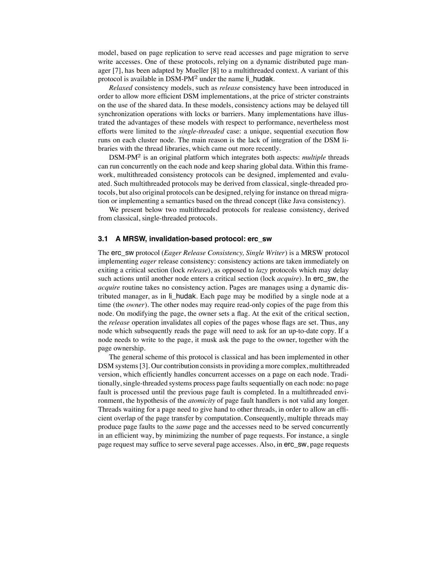model, based on page replication to serve read accesses and page migration to serve write accesses. One of these protocols, relying on a dynamic distributed page manager [7], has been adapted by Mueller [8] to a multithreaded context. A variant of this protocol is available in  $DSM-PM^2$  under the name li hudak.

*Relaxed* consistency models, such as *release* consistency have been introduced in order to allow more efficient DSM implementations, at the price of stricter constraints on the use of the shared data. In these models, consistency actions may be delayed till synchronization operations with locks or barriers. Many implementations have illustrated the advantages of these models with respect to performance, nevertheless most efforts were limited to the *single-threaded* case: a unique, sequential execution flow runs on each cluster node. The main reason is the lack of integration of the DSM libraries with the thread libraries, which came out more recently.

DSM-PM<sup>2</sup> is an original platform which integrates both aspects: *multiple* threads can run concurrently on the each node and keep sharing global data. Within this framework, multithreaded consistency protocols can be designed, implemented and evaluated. Such multithreaded protocols may be derived from classical, single-threaded protocols, but also original protocols can be designed, relying for instance on thread migration or implementing a semantics based on the thread concept (like Java consistency).

We present below two multithreaded protocols for realease consistency, derived from classical, single-threaded protocols.

#### **3.1 A MRSW, invalidation-based protocol: erc\_sw**

The erc\_sw protocol (*Eager Release Consistency, Single Writer*) is a MRSW protocol implementing *eager* release consistency: consistency actions are taken immediately on exiting a critical section (lock *release*), as opposed to *lazy* protocols which may delay such actions until another node enters a critical section (lock *acquire*). In erc\_sw, the *acquire* routine takes no consistency action. Pages are manages using a dynamic distributed manager, as in li\_hudak. Each page may be modified by a single node at a time (the *owner*). The other nodes may require read-only copies of the page from this node. On modifying the page, the owner sets a flag. At the exit of the critical section, the *release* operation invalidates all copies of the pages whose flags are set. Thus, any node which subsequently reads the page will need to ask for an up-to-date copy. If a node needs to write to the page, it musk ask the page to the owner, together with the page ownership.

The general scheme of this protocol is classical and has been implemented in other DSM systems [3]. Our contribution consists in providing a more complex, multithreaded version, which efficiently handles concurrent accesses on a page on each node. Traditionally, single-threaded systems process page faults sequentially on each node: no page fault is processed until the previous page fault is completed. In a multithreaded environment, the hypothesis of the *atomicity* of page fault handlers is not valid any longer. Threads waiting for a page need to give hand to other threads, in order to allow an efficient overlap of the page transfer by computation. Consequently, multiple threads may produce page faults to the *same* page and the accesses need to be served concurrently in an efficient way, by minimizing the number of page requests. For instance, a single page request may suffice to serve several page accesses. Also, in erc\_sw, page requests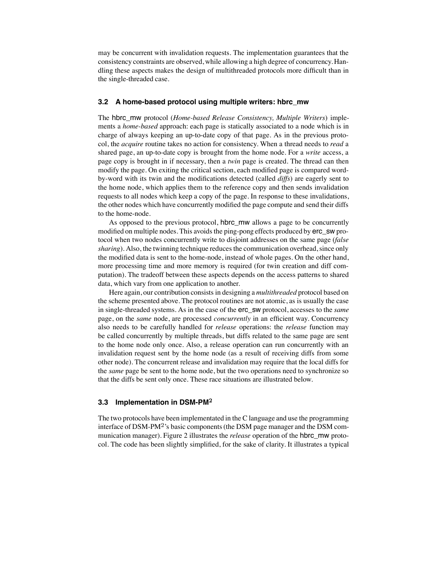may be concurrent with invalidation requests. The implementation guarantees that the consistency constraints are observed, while allowing a high degree of concurrency. Handling these aspects makes the design of multithreaded protocols more difficult than in the single-threaded case.

#### **3.2 A home-based protocol using multiple writers: hbrc\_mw**

The hbrc\_mw protocol (*Home-based Release Consistency, Multiple Writers*) implements a *home-based* approach: each page is statically associated to a node which is in charge of always keeping an up-to-date copy of that page. As in the previous protocol, the *acquire* routine takes no action for consistency. When a thread needs to *read* a shared page, an up-to-date copy is brought from the home node. For a *write* access, a page copy is brought in if necessary, then a *twin* page is created. The thread can then modify the page. On exiting the critical section, each modified page is compared wordby-word with its twin and the modifications detected (called *diffs*) are eagerly sent to the home node, which applies them to the reference copy and then sends invalidation requests to all nodes which keep a copy of the page. In response to these invalidations, the other nodes which have concurrently modified the page compute and send their diffs to the home-node.

As opposed to the previous protocol, hbrc\_mw allows a page to be concurrently modified on multiple nodes. This avoids the ping-pong effects produced by **erc** sw protocol when two nodes concurrently write to disjoint addresses on the same page (*false sharing*). Also, the twinning technique reduces the communication overhead, since only the modified data is sent to the home-node, instead of whole pages. On the other hand, more processing time and more memory is required (for twin creation and diff computation). The tradeoff between these aspects depends on the access patterns to shared data, which vary from one application to another.

Here again, our contribution consists in designing a *multithreaded* protocol based on the scheme presented above. The protocol routines are not atomic, as is usually the case in single-threaded systems. As in the case of the erc\_sw protocol, accesses to the *same* page, on the *same* node, are processed *concurrently* in an efficient way. Concurrency also needs to be carefully handled for *release* operations: the *release* function may be called concurrently by multiple threads, but diffs related to the same page are sent to the home node only once. Also, a release operation can run concurrently with an invalidation request sent by the home node (as a result of receiving diffs from some other node). The concurrent release and invalidation may require that the local diffs for the *same* page be sent to the home node, but the two operations need to synchronize so that the diffs be sent only once. These race situations are illustrated below.

#### **3.3 Implementation in DSM-PM**

The two protocols have been implementated in the C language and use the programming interface of DSM-PM<sup>2</sup>'s basic components (the DSM page manager and the DSM communication manager). Figure 2 illustrates the *release* operation of the hbrc\_mw protocol. The code has been slightly simplified, for the sake of clarity. It illustrates a typical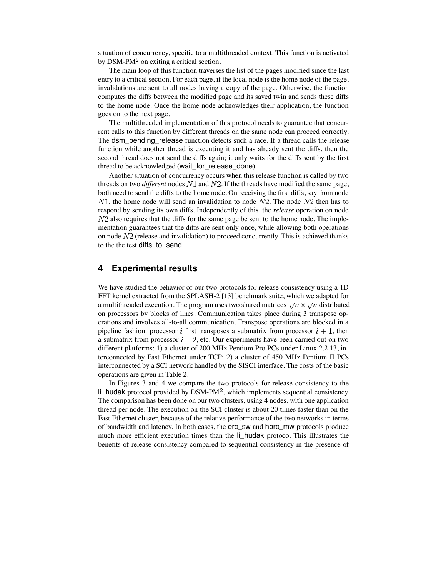situation of concurrency, specific to a multithreaded context. This function is activated by DSM-PM $2$  on exiting a critical section.

The main loop of this function traverses the list of the pages modified since the last entry to a critical section. For each page, if the local node is the home node of the page, invalidations are sent to all nodes having a copy of the page. Otherwise, the function computes the diffs between the modified page and its saved twin and sends these diffs to the home node. Once the home node acknowledges their application, the function goes on to the next page.

The multithreaded implementation of this protocol needs to guarantee that concurrent calls to this function by different threads on the same node can proceed correctly. The dsm\_pending\_release function detects such a race. If a thread calls the release function while another thread is executing it and has already sent the diffs, then the second thread does not send the diffs again; it only waits for the diffs sent by the first thread to be acknowledged (wait for release done).

Another situation of concurrency occurs when this release function is called by two threads on two *different* nodes  $N1$  and  $N2$ . If the threads have modified the same page, both need to send the diffs to the home node. On receiving the first diffs, say from node  $N1$ , the home node will send an invalidation to node  $N2$ . The node  $N2$  then has to respond by sending its own diffs. Independently of this, the *release* operation on node  $N2$  also requires that the diffs for the same page be sent to the home node. The implementation guarantees that the diffs are sent only once, while allowing both operations on node  $N2$  (release and invalidation) to proceed concurrently. This is achieved thanks to the the test diffs to send.

### **4 Experimental results**

We have studied the behavior of our two protocols for release consistency using a 1D FFT kernel extracted from the SPLASH-2 [13] benchmark suite, which we adapted for a multithreaded execution. The program uses two shared matrices  $\sqrt{n} \times \sqrt{n}$  distributed on processors by blocks of lines. Communication takes place during 3 transpose operations and involves all-to-all communication. Transpose operations are blocked in a pipeline fashion: processor i first transposes a submatrix from processor  $i + 1$ , then a submatrix from processor  $i + 2$ , etc. Our experiments have been carried out on two different platforms: 1) a cluster of 200 MHz Pentium Pro PCs under Linux 2.2.13, interconnected by Fast Ethernet under TCP; 2) a cluster of 450 MHz Pentium II PCs interconnected by a SCI network handled by the SISCI interface. The costs of the basic operations are given in Table 2.

In Figures 3 and 4 we compare the two protocols for release consistency to the li\_hudak protocol provided by  $DSM-PM^2$ , which implements sequential consistency. The comparison has been done on our two clusters, using 4 nodes, with one application thread per node. The execution on the SCI cluster is about 20 times faster than on the Fast Ethernet cluster, because of the relative performance of the two networks in terms of bandwidth and latency. In both cases, the erc\_sw and hbrc\_mw protocols produce much more efficient execution times than the li\_hudak protoco. This illustrates the benefits of release consistency compared to sequential consistency in the presence of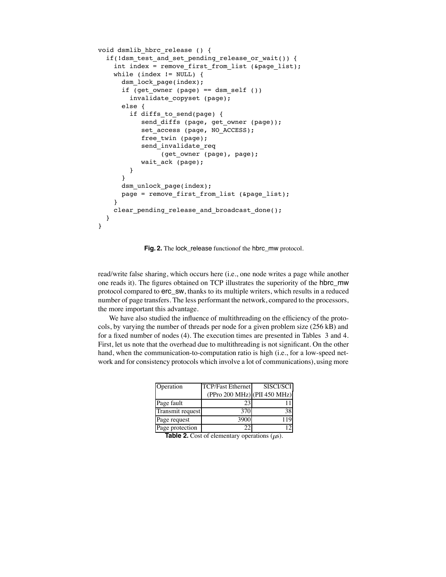```
void dsmlib_hbrc_release () {
  if(!dsm test and set pending release or wait()) {
    int index = remove first from list (&page list);
    while (index != NULL) {
      dsm lock page(index);
      if (get owner (page) == dsm self ())
        invalidate copyset (page);
      else {
        if diffs_to_send(page) {
           send diffs (page, get owner (page));
           set_access (page, NO_ACCESS);
           free twin (page);
           send invalidate req
                (get_owner (page), page);
           wait ack (page);
        }
      }
      dsm unlock page(index);
      page = remove_first_from_list (&page_list);
    }
    clear pending release and broadcast done();
  }
}
```
**Fig. 2.** The lock release function of the hbrc mw protocol.

read/write false sharing, which occurs here (i.e., one node writes a page while another one reads it). The figures obtained on TCP illustrates the superiority of the hbrc\_mw protocol compared to erc\_sw, thanks to its multiple writers, which results in a reduced number of page transfers. The less performant the network, compared to the processors, the more important this advantage.

We have also studied the influence of multithreading on the efficiency of the protocols, by varying the number of threads per node for a given problem size (256 kB) and for a fixed number of nodes (4). The execution times are presented in Tables 3 and 4. First, let us note that the overhead due to multithreading is not significant. On the other hand, when the communication-to-computation ratio is high (i.e., for a low-speed network and for consistency protocols which involve a lot of communications), using more

| Operation        | <b>TCP/Fast Ethernet</b>     | SISCI/SCI |  |
|------------------|------------------------------|-----------|--|
|                  | (PPro 200 MHz) (PII 450 MHz) |           |  |
| Page fault       | 23                           |           |  |
| Transmit request | 370                          | 38        |  |
| Page request     | 3900                         |           |  |
| Page protection  |                              |           |  |

**Table 2.** Cost of elementary operations  $(\mu s)$ .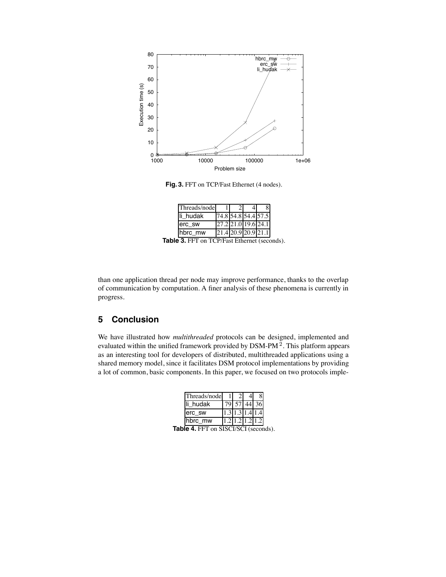

**Fig. 3.** FFT on TCP/Fast Ethernet (4 nodes).

| Threads/node |  |                     |                     |
|--------------|--|---------------------|---------------------|
| li hudak     |  |                     | 74.8 54.8 54.4 57.5 |
| erc sw       |  | 27.2 21.0 19.6 24.1 |                     |
| Ihbrc mw     |  | 21.4 20.9 20.9 21.1 |                     |

**Table 3.** FFT on TCP/Fast Ethernet (seconds).

than one application thread per node may improve performance, thanks to the overlap of communication by computation. A finer analysis of these phenomena is currently in progress.

# **5 Conclusion**

We have illustrated how *multithreaded* protocols can be designed, implemented and evaluated within the unified framework provided by  $DSM-PM^2$ . This platform appears as an interesting tool for developers of distributed, multithreaded applications using a shared memory model, since it facilitates DSM protocol implementations by providing a lot of common, basic components. In this paper, we focused on two protocols imple-

| Threads/node |    |  |
|--------------|----|--|
| hudak        | 57 |  |
| erc sw       |    |  |
| Ihbrc mw     |    |  |
|              |    |  |

**Table 4.** FFT on SISCI/SCI (seconds).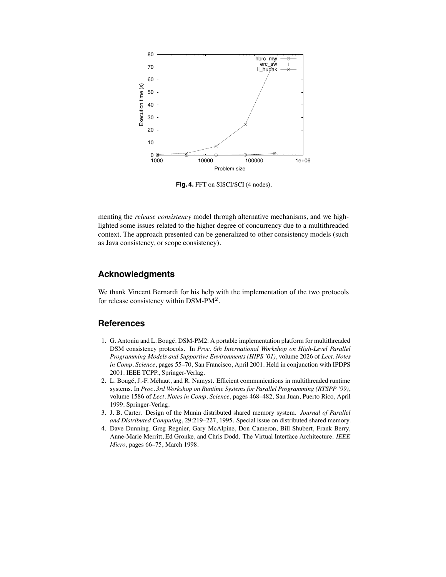

**Fig. 4.** FFT on SISCI/SCI (4 nodes).

menting the *release consistency* model through alternative mechanisms, and we highlighted some issues related to the higher degree of concurrency due to a multithreaded context. The approach presented can be generalized to other consistency models (such as Java consistency, or scope consistency).

## **Acknowledgments**

We thank Vincent Bernardi for his help with the implementation of the two protocols for release consistency within DSM-PM<sup>2</sup>.

## **References**

- 1. G. Antoniu and L. Bougé. DSM-PM2: A portable implementation platform for multithreaded DSM consistency protocols. In *Proc. 6th International Workshop on High-Level Parallel Programming Models and Supportive Environments (HIPS '01)*, volume 2026 of *Lect. Notes in Comp. Science*, pages 55–70, San Francisco, April 2001. Held in conjunction with IPDPS 2001. IEEE TCPP., Springer-Verlag.
- 2. L. Bougé, J.-F. Méhaut, and R. Namyst. Efficient communications in multithreaded runtime systems. In *Proc. 3rd Workshop on Runtime Systems for Parallel Programming (RTSPP '99)*, volume 1586 of *Lect. Notes in Comp. Science*, pages 468–482, San Juan, Puerto Rico, April 1999. Springer-Verlag.
- 3. J. B. Carter. Design of the Munin distributed shared memory system. *Journal of Parallel and Distributed Computing*, 29:219–227, 1995. Special issue on distributed shared memory.
- 4. Dave Dunning, Greg Regnier, Gary McAlpine, Don Cameron, Bill Shubert, Frank Berry, Anne-Marie Merritt, Ed Gronke, and Chris Dodd. The Virtual Interface Architecture. *IEEE Micro*, pages 66–75, March 1998.